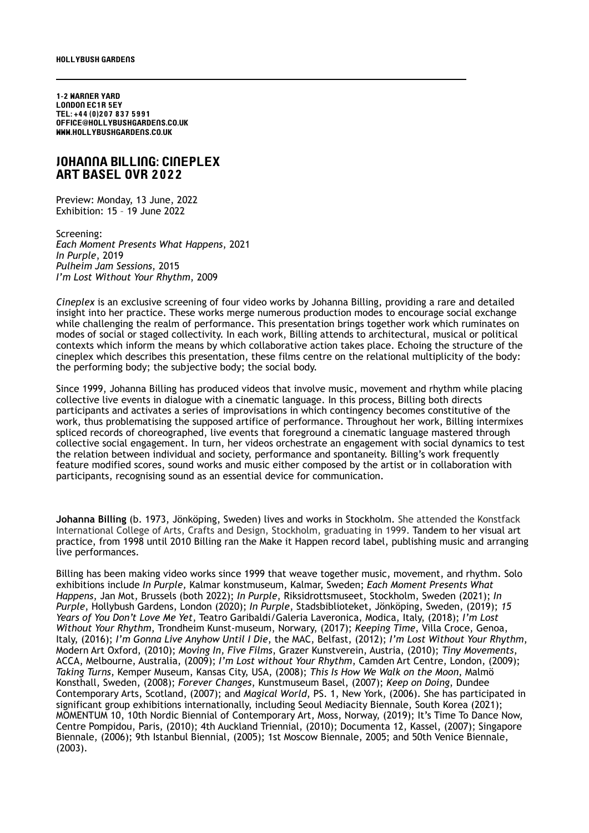1-2 Warner Yard London EC1r 5ey Tel: +44 (0)207 837 5991 office@hollybushgardens.co.uk www.hollybushgardens.co.uk

## johanna billing: cineplex ART BASEL OVR 2022

Preview: Monday, 13 June, 2022 Exhibition: 15 – 19 June 2022

Screening: *Each Moment Presents What Happens*, 2021 *In Purple*, 2019 *Pulheim Jam Sessions*, 2015 *I'm Lost Without Your Rhythm*, 2009

*Cineplex* is an exclusive screening of four video works by Johanna Billing, providing a rare and detailed insight into her practice. These works merge numerous production modes to encourage social exchange while challenging the realm of performance. This presentation brings together work which ruminates on modes of social or staged collectivity. In each work, Billing attends to architectural, musical or political contexts which inform the means by which collaborative action takes place. Echoing the structure of the cineplex which describes this presentation, these films centre on the relational multiplicity of the body: the performing body; the subjective body; the social body.

Since 1999, Johanna Billing has produced videos that involve music, movement and rhythm while placing collective live events in dialogue with a cinematic language. In this process, Billing both directs participants and activates a series of improvisations in which contingency becomes constitutive of the work, thus problematising the supposed artifice of performance. Throughout her work, Billing intermixes spliced records of choreographed, live events that foreground a cinematic language mastered through collective social engagement. In turn, her videos orchestrate an engagement with social dynamics to test the relation between individual and society, performance and spontaneity. Billing's work frequently feature modified scores, sound works and music either composed by the artist or in collaboration with participants, recognising sound as an essential device for communication.

**Johanna Billing** (b. 1973, Jönköping, Sweden) lives and works in Stockholm. She attended the Konstfack International College of Arts, Crafts and Design, Stockholm, graduating in 1999. Tandem to her visual art practice, from 1998 until 2010 Billing ran the Make it Happen record label, publishing music and arranging live performances.

Billing has been making video works since 1999 that weave together music, movement, and rhythm. Solo exhibitions include *In Purple,* Kalmar konstmuseum, Kalmar, Sweden; *Each Moment Presents What Happens*, Jan Mot, Brussels (both 2022); *In Purple*, Riksidrottsmuseet, Stockholm, Sweden (2021); *In Purple*, Hollybush Gardens, London (2020); *In Purple*, Stadsbiblioteket, Jönköping, Sweden, (2019); *15 Years of You Don't Love Me Yet*, Teatro Garibaldi/Galeria Laveronica, Modica, Italy, (2018); *I'm Lost Without Your Rhythm*, Trondheim Kunst-museum, Norwary, (2017); *Keeping Time*, Villa Croce, Genoa, Italy, (2016); *I'm Gonna Live Anyhow Until I Die*, the MAC, Belfast, (2012); *I'm Lost Without Your Rhythm*, Modern Art Oxford, (2010); *Moving In, Five Films*, Grazer Kunstverein, Austria, (2010); *Tiny Movements*, ACCA, Melbourne, Australia, (2009); *I'm Lost without Your Rhythm*, Camden Art Centre, London, (2009); *Taking Turns*, Kemper Museum, Kansas City, USA, (2008); *This Is How We Walk on the Moon*, Malmö Konsthall, Sweden, (2008); *Forever Changes*, Kunstmuseum Basel, (2007); *Keep on Doing*, Dundee Contemporary Arts, Scotland, (2007); and *Magical World*, PS. 1, New York, (2006). She has participated in significant group exhibitions internationally, including Seoul Mediacity Biennale, South Korea (2021); MOMENTUM 10, 10th Nordic Biennial of Contemporary Art, Moss, Norway, (2019); It's Time To Dance Now, Centre Pompidou, Paris, (2010); 4th Auckland Triennial, (2010); Documenta 12, Kassel, (2007); Singapore Biennale, (2006); 9th Istanbul Biennial, (2005); 1st Moscow Biennale, 2005; and 50th Venice Biennale, (2003).